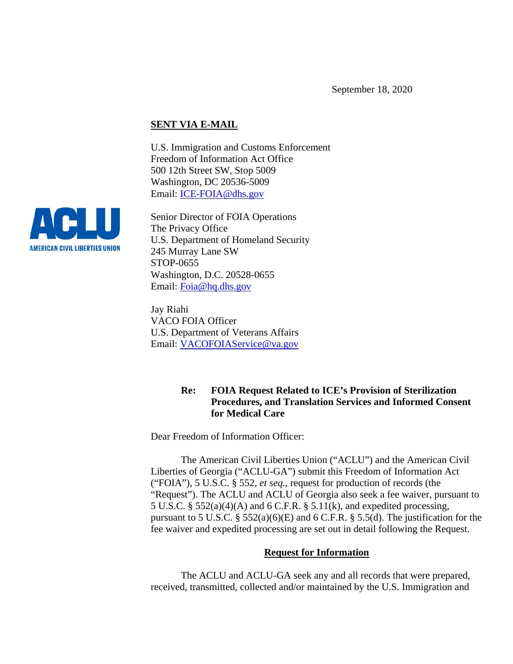## **SENT VIA E-MAIL**

U.S. Immigration and Customs Enforcement Freedom of Information Act Office 500 12th Street SW, Stop 5009 Washington, DC 20536-5009 Email: [ICE-FOIA@dhs.gov](mailto:ICE-FOIA@dhs.gov) 

Senior Director of FOIA Operations The Privacy Office U.S. Department of Homeland Security 245 Murray Lane SW STOP-0655 Washington, D.C. 20528-0655 Email: [Foia@hq.dhs.gov](mailto:Foia@hq.dhs.gov)

Jay Riahi VACO FOIA Officer U.S. Department of Veterans Affairs Email: [VACOFOIAService@va.gov](mailto:VACOFOIAService@va.gov)

# **Re: FOIA Request Related to ICE's Provision of Sterilization Procedures, and Translation Services and Informed Consent for Medical Care**

Dear Freedom of Information Officer:

The American Civil Liberties Union ("ACLU") and the American Civil Liberties of Georgia ("ACLU-GA") submit this Freedom of Information Act ("FOIA"), 5 U.S.C. § 552, *et seq.*, request for production of records (the "Request"). The ACLU and ACLU of Georgia also seek a fee waiver, pursuant to 5 U.S.C. § 552(a)(4)(A) and 6 C.F.R. § 5.11(k), and expedited processing, pursuant to 5 U.S.C.  $\S$  552(a)(6)(E) and 6 C.F.R.  $\S$  5.5(d). The justification for the fee waiver and expedited processing are set out in detail following the Request.

### **Request for Information**

The ACLU and ACLU-GA seek any and all records that were prepared, received, transmitted, collected and/or maintained by the U.S. Immigration and

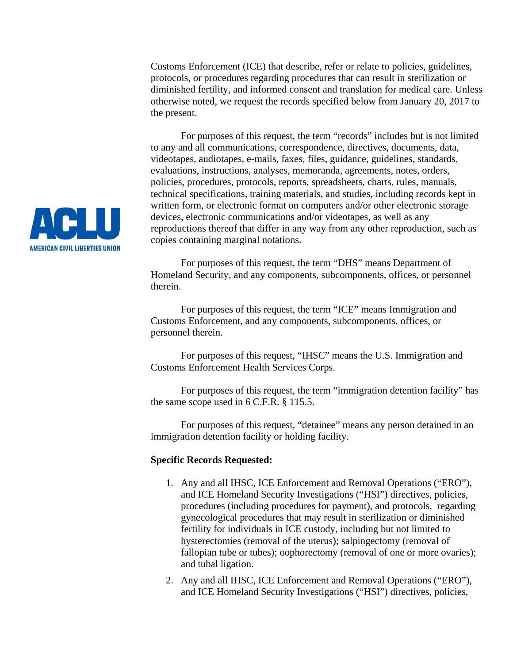Customs Enforcement (ICE) that describe, refer or relate to policies, guidelines, protocols, or procedures regarding procedures that can result in sterilization or diminished fertility, and informed consent and translation for medical care. Unless otherwise noted, we request the records specified below from January 20, 2017 to the present.

For purposes of this request, the term "records" includes but is not limited to any and all communications, correspondence, directives, documents, data, videotapes, audiotapes, e-mails, faxes, files, guidance, guidelines, standards, evaluations, instructions, analyses, memoranda, agreements, notes, orders, policies, procedures, protocols, reports, spreadsheets, charts, rules, manuals, technical specifications, training materials, and studies, including records kept in written form, or electronic format on computers and/or other electronic storage devices, electronic communications and/or videotapes, as well as any reproductions thereof that differ in any way from any other reproduction, such as copies containing marginal notations.

For purposes of this request, the term "DHS" means Department of Homeland Security, and any components, subcomponents, offices, or personnel therein.

For purposes of this request, the term "ICE" means Immigration and Customs Enforcement, and any components, subcomponents, offices, or personnel therein.

For purposes of this request, "IHSC" means the U.S. Immigration and Customs Enforcement Health Services Corps.

For purposes of this request, the term "immigration detention facility" has the same scope used in 6 C.F.R. § 115.5.

For purposes of this request, "detainee" means any person detained in an immigration detention facility or holding facility.

#### **Specific Records Requested:**

- 1. Any and all IHSC, ICE Enforcement and Removal Operations ("ERO"), and ICE Homeland Security Investigations ("HSI") directives, policies, procedures (including procedures for payment), and protocols, regarding gynecological procedures that may result in sterilization or diminished fertility for individuals in ICE custody, including but not limited to hysterectomies (removal of the uterus); salpingectomy (removal of fallopian tube or tubes); oophorectomy (removal of one or more ovaries); and tubal ligation.
- 2. Any and all IHSC, ICE Enforcement and Removal Operations ("ERO"), and ICE Homeland Security Investigations ("HSI") directives, policies,

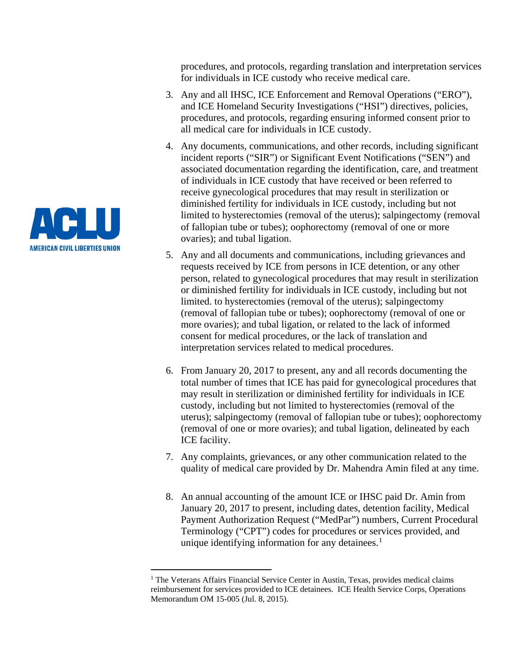AV DE LI III **AMERICAN CIVIL LIBERTIES UNION** 

 $\overline{a}$ 

procedures, and protocols, regarding translation and interpretation services for individuals in ICE custody who receive medical care.

- 3. Any and all IHSC, ICE Enforcement and Removal Operations ("ERO"), and ICE Homeland Security Investigations ("HSI") directives, policies, procedures, and protocols, regarding ensuring informed consent prior to all medical care for individuals in ICE custody.
- 4. Any documents, communications, and other records, including significant incident reports ("SIR") or Significant Event Notifications ("SEN") and associated documentation regarding the identification, care, and treatment of individuals in ICE custody that have received or been referred to receive gynecological procedures that may result in sterilization or diminished fertility for individuals in ICE custody, including but not limited to hysterectomies (removal of the uterus); salpingectomy (removal of fallopian tube or tubes); oophorectomy (removal of one or more ovaries); and tubal ligation.
- 5. Any and all documents and communications, including grievances and requests received by ICE from persons in ICE detention, or any other person, related to gynecological procedures that may result in sterilization or diminished fertility for individuals in ICE custody, including but not limited. to hysterectomies (removal of the uterus); salpingectomy (removal of fallopian tube or tubes); oophorectomy (removal of one or more ovaries); and tubal ligation, or related to the lack of informed consent for medical procedures, or the lack of translation and interpretation services related to medical procedures.
- 6. From January 20, 2017 to present, any and all records documenting the total number of times that ICE has paid for gynecological procedures that may result in sterilization or diminished fertility for individuals in ICE custody, including but not limited to hysterectomies (removal of the uterus); salpingectomy (removal of fallopian tube or tubes); oophorectomy (removal of one or more ovaries); and tubal ligation, delineated by each ICE facility.
- 7. Any complaints, grievances, or any other communication related to the quality of medical care provided by Dr. Mahendra Amin filed at any time.
- 8. An annual accounting of the amount ICE or IHSC paid Dr. Amin from January 20, 2017 to present, including dates, detention facility, Medical Payment Authorization Request ("MedPar") numbers, Current Procedural Terminology ("CPT") codes for procedures or services provided, and unique identifying information for any detainees.<sup>[1](#page-2-0)</sup>

<span id="page-2-0"></span> $<sup>1</sup>$  The Veterans Affairs Financial Service Center in Austin, Texas, provides medical claims</sup> reimbursement for services provided to ICE detainees. ICE Health Service Corps, Operations Memorandum OM 15-005 (Jul. 8, 2015).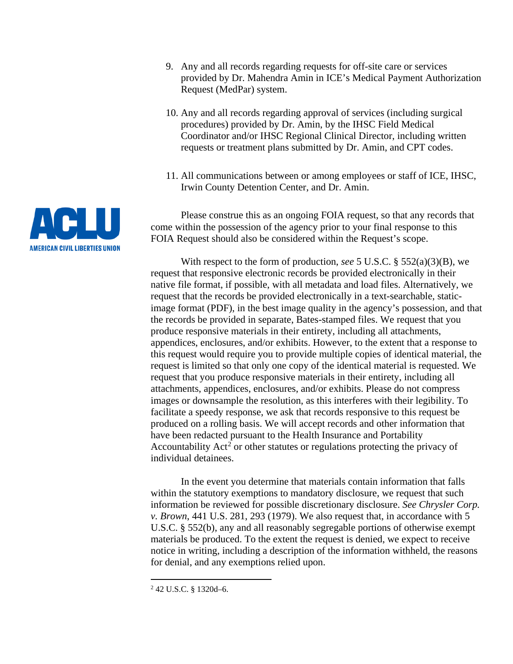**AVELIE AMERICAN CIVIL LIBERTIES UNION** 

- 9. Any and all records regarding requests for off-site care or services provided by Dr. Mahendra Amin in ICE's Medical Payment Authorization Request (MedPar) system.
- 10. Any and all records regarding approval of services (including surgical procedures) provided by Dr. Amin, by the IHSC Field Medical Coordinator and/or IHSC Regional Clinical Director, including written requests or treatment plans submitted by Dr. Amin, and CPT codes.
- 11. All communications between or among employees or staff of ICE, IHSC, Irwin County Detention Center, and Dr. Amin.

Please construe this as an ongoing FOIA request, so that any records that come within the possession of the agency prior to your final response to this FOIA Request should also be considered within the Request's scope.

With respect to the form of production, *see* 5 U.S.C. § 552(a)(3)(B), we request that responsive electronic records be provided electronically in their native file format, if possible, with all metadata and load files. Alternatively, we request that the records be provided electronically in a text-searchable, staticimage format (PDF), in the best image quality in the agency's possession, and that the records be provided in separate, Bates-stamped files. We request that you produce responsive materials in their entirety, including all attachments, appendices, enclosures, and/or exhibits. However, to the extent that a response to this request would require you to provide multiple copies of identical material, the request is limited so that only one copy of the identical material is requested. We request that you produce responsive materials in their entirety, including all attachments, appendices, enclosures, and/or exhibits. Please do not compress images or downsample the resolution, as this interferes with their legibility. To facilitate a speedy response, we ask that records responsive to this request be produced on a rolling basis. We will accept records and other information that have been redacted pursuant to the Health Insurance and Portability Accountability  $Act<sup>2</sup>$  $Act<sup>2</sup>$  $Act<sup>2</sup>$  or other statutes or regulations protecting the privacy of individual detainees.

In the event you determine that materials contain information that falls within the statutory exemptions to mandatory disclosure, we request that such information be reviewed for possible discretionary disclosure. *See Chrysler Corp. v. Brown*, 441 U.S. 281, 293 (1979). We also request that, in accordance with 5 U.S.C. § 552(b), any and all reasonably segregable portions of otherwise exempt materials be produced. To the extent the request is denied, we expect to receive notice in writing, including a description of the information withheld, the reasons for denial, and any exemptions relied upon.

<span id="page-3-0"></span><sup>2</sup> 42 U.S.C. § 1320d–6.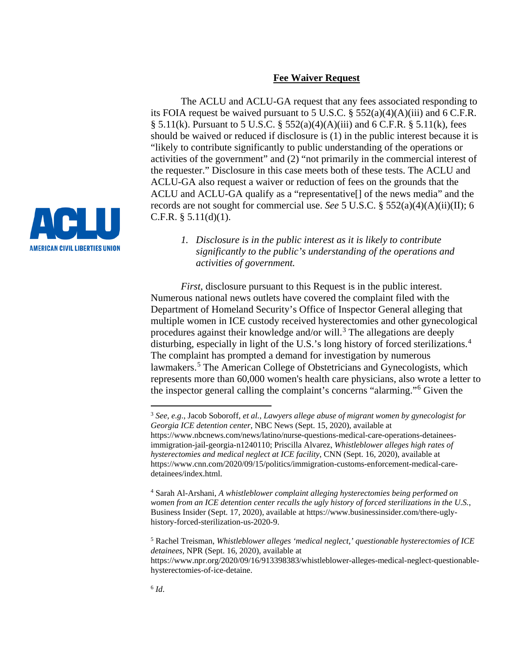### **Fee Waiver Request**

The ACLU and ACLU-GA request that any fees associated responding to its FOIA request be waived pursuant to 5 U.S.C.  $\S$  552(a)(4)(A)(iii) and 6 C.F.R. § 5.11(k). Pursuant to 5 U.S.C. § 552(a)(4)(A)(iii) and 6 C.F.R. § 5.11(k), fees should be waived or reduced if disclosure is (1) in the public interest because it is "likely to contribute significantly to public understanding of the operations or activities of the government" and (2) "not primarily in the commercial interest of the requester." Disclosure in this case meets both of these tests. The ACLU and ACLU-GA also request a waiver or reduction of fees on the grounds that the ACLU and ACLU-GA qualify as a "representative[] of the news media" and the records are not sought for commercial use. *See* 5 U.S.C. § 552(a)(4)(A)(ii)(II); 6 C.F.R.  $§ 5.11(d)(1)$ .



*1. Disclosure is in the public interest as it is likely to contribute significantly to the public's understanding of the operations and activities of government.*

*First*, disclosure pursuant to this Request is in the public interest. Numerous national news outlets have covered the complaint filed with the Department of Homeland Security's Office of Inspector General alleging that multiple women in ICE custody received hysterectomies and other gynecological procedures against their knowledge and/or will.<sup>[3](#page-4-0)</sup> The allegations are deeply disturbing, especially in light of the U.S.'s long history of forced sterilizations.[4](#page-4-1) The complaint has prompted a demand for investigation by numerous lawmakers.<sup>[5](#page-4-2)</sup> The American College of Obstetricians and Gynecologists, which represents more than 60,000 women's health care physicians, also wrote a letter to the inspector general calling the complaint's concerns "alarming."[6](#page-4-3) Given the

<span id="page-4-0"></span><sup>3</sup> *See, e.g*., Jacob Soboroff, *et al.*, *Lawyers allege abuse of migrant women by gynecologist for Georgia ICE detention center*, NBC News (Sept. 15, 2020), available at https://www.nbcnews.com/news/latino/nurse-questions-medical-care-operations-detaineesimmigration-jail-georgia-n1240110; Priscilla Alvarez, *Whistleblower alleges high rates of hysterectomies and medical neglect at ICE facility*, CNN (Sept. 16, 2020), available at https://www.cnn.com/2020/09/15/politics/immigration-customs-enforcement-medical-caredetainees/index.html.

<span id="page-4-1"></span><sup>4</sup> Sarah Al-Arshani, *A whistleblower complaint alleging hysterectomies being performed on women from an ICE detention center recalls the ugly history of forced sterilizations in the U.S.*, Business Insider (Sept. 17, 2020), available at https://www.businessinsider.com/there-uglyhistory-forced-sterilization-us-2020-9.

<span id="page-4-2"></span><sup>5</sup> Rachel Treisman, *Whistleblower alleges 'medical neglect,' questionable hysterectomies of ICE detainees*, NPR (Sept. 16, 2020), available at

<span id="page-4-3"></span>https://www.npr.org/2020/09/16/913398383/whistleblower-alleges-medical-neglect-questionablehysterectomies-of-ice-detaine.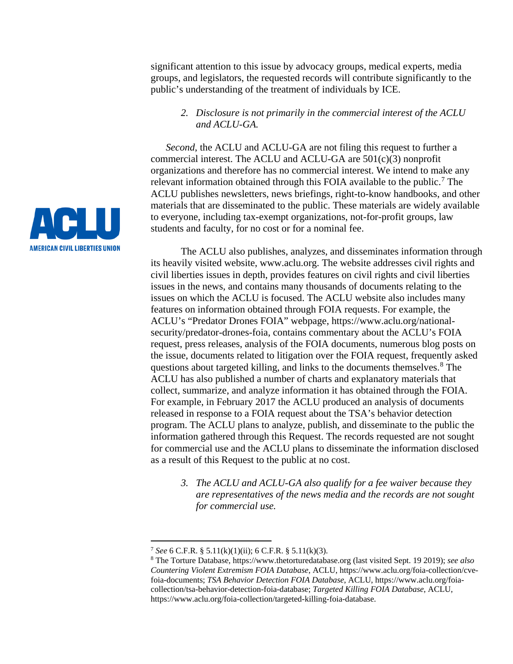significant attention to this issue by advocacy groups, medical experts, media groups, and legislators, the requested records will contribute significantly to the public's understanding of the treatment of individuals by ICE.

## *2. Disclosure is not primarily in the commercial interest of the ACLU and ACLU-GA.*

*Second*, the ACLU and ACLU-GA are not filing this request to further a commercial interest. The ACLU and ACLU-GA are 501(c)(3) nonprofit organizations and therefore has no commercial interest. We intend to make any relevant information obtained through this FOIA available to the public.<sup>[7](#page-5-0)</sup> The ACLU publishes newsletters, news briefings, right-to-know handbooks, and other materials that are disseminated to the public. These materials are widely available to everyone, including tax-exempt organizations, not-for-profit groups, law students and faculty, for no cost or for a nominal fee.

The ACLU also publishes, analyzes, and disseminates information through its heavily visited website, www.aclu.org. The website addresses civil rights and civil liberties issues in depth, provides features on civil rights and civil liberties issues in the news, and contains many thousands of documents relating to the issues on which the ACLU is focused. The ACLU website also includes many features on information obtained through FOIA requests. For example, the ACLU's "Predator Drones FOIA" webpage, https://www.aclu.org/nationalsecurity/predator-drones-foia, contains commentary about the ACLU's FOIA request, press releases, analysis of the FOIA documents, numerous blog posts on the issue, documents related to litigation over the FOIA request, frequently asked questions about targeted killing, and links to the documents themselves.<sup>[8](#page-5-1)</sup> The ACLU has also published a number of charts and explanatory materials that collect, summarize, and analyze information it has obtained through the FOIA. For example, in February 2017 the ACLU produced an analysis of documents released in response to a FOIA request about the TSA's behavior detection program. The ACLU plans to analyze, publish, and disseminate to the public the information gathered through this Request. The records requested are not sought for commercial use and the ACLU plans to disseminate the information disclosed as a result of this Request to the public at no cost.

*3. The ACLU and ACLU-GA also qualify for a fee waiver because they are representatives of the news media and the records are not sought for commercial use.*



<span id="page-5-0"></span><sup>7</sup> *See* 6 C.F.R. § 5.11(k)(1)(ii); 6 C.F.R. § 5.11(k)(3).

<span id="page-5-1"></span><sup>8</sup> The Torture Database, https://www.thetorturedatabase.org (last visited Sept. 19 2019); *see also Countering Violent Extremism FOIA Database*, ACLU, https://www.aclu.org/foia-collection/cvefoia-documents; *TSA Behavior Detection FOIA Database*, ACLU, https://www.aclu.org/foiacollection/tsa-behavior-detection-foia-database; *Targeted Killing FOIA Database*, ACLU, https://www.aclu.org/foia-collection/targeted-killing-foia-database.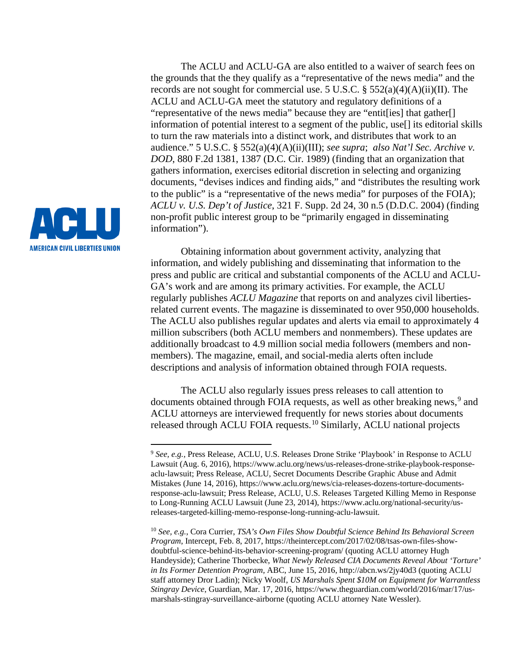

 $\overline{a}$ 

The ACLU and ACLU-GA are also entitled to a waiver of search fees on the grounds that the they qualify as a "representative of the news media" and the records are not sought for commercial use. 5 U.S.C.  $\S$  552(a)(4)(A)(ii)(II). The ACLU and ACLU-GA meet the statutory and regulatory definitions of a "representative of the news media" because they are "entit[ies] that gather[] information of potential interest to a segment of the public, use[] its editorial skills to turn the raw materials into a distinct work, and distributes that work to an audience." 5 U.S.C. § 552(a)(4)(A)(ii)(III); *see supra*; *also Nat'l Sec. Archive v. DOD*, 880 F.2d 1381, 1387 (D.C. Cir. 1989) (finding that an organization that gathers information, exercises editorial discretion in selecting and organizing documents, "devises indices and finding aids," and "distributes the resulting work to the public" is a "representative of the news media" for purposes of the FOIA); *ACLU v. U.S. Dep't of Justice*, 321 F. Supp. 2d 24, 30 n.5 (D.D.C. 2004) (finding non-profit public interest group to be "primarily engaged in disseminating information").

Obtaining information about government activity, analyzing that information, and widely publishing and disseminating that information to the press and public are critical and substantial components of the ACLU and ACLU-GA's work and are among its primary activities. For example, the ACLU regularly publishes *ACLU Magazine* that reports on and analyzes civil libertiesrelated current events. The magazine is disseminated to over 950,000 households. The ACLU also publishes regular updates and alerts via email to approximately 4 million subscribers (both ACLU members and nonmembers). These updates are additionally broadcast to 4.9 million social media followers (members and nonmembers). The magazine, email, and social-media alerts often include descriptions and analysis of information obtained through FOIA requests.

The ACLU also regularly issues press releases to call attention to documents obtained through FOIA requests, as well as other breaking news,<sup>[9](#page-6-0)</sup> and ACLU attorneys are interviewed frequently for news stories about documents released through ACLU FOIA requests.[10](#page-6-1) Similarly, ACLU national projects

<span id="page-6-0"></span><sup>9</sup> *See, e.g.*, Press Release, ACLU, U.S. Releases Drone Strike 'Playbook' in Response to ACLU Lawsuit (Aug. 6, 2016), https://www.aclu.org/news/us-releases-drone-strike-playbook-responseaclu-lawsuit; Press Release, ACLU, Secret Documents Describe Graphic Abuse and Admit Mistakes (June 14, 2016), https://www.aclu.org/news/cia-releases-dozens-torture-documentsresponse-aclu-lawsuit; Press Release, ACLU, U.S. Releases Targeted Killing Memo in Response to Long-Running ACLU Lawsuit (June 23, 2014), https://www.aclu.org/national-security/usreleases-targeted-killing-memo-response-long-running-aclu-lawsuit.

<span id="page-6-1"></span><sup>10</sup> *See, e.g.*, Cora Currier, *TSA's Own Files Show Doubtful Science Behind Its Behavioral Screen Program*, Intercept, Feb. 8, 2017, https://theintercept.com/2017/02/08/tsas-own-files-showdoubtful-science-behind-its-behavior-screening-program/ (quoting ACLU attorney Hugh Handeyside); Catherine Thorbecke, *What Newly Released CIA Documents Reveal About 'Torture' in Its Former Detention Program,* ABC, June 15, 2016, http://abcn.ws/2jy40d3 (quoting ACLU staff attorney Dror Ladin); Nicky Woolf, *US Marshals Spent \$10M on Equipment for Warrantless Stingray Device*, Guardian, Mar. 17, 2016, https://www.theguardian.com/world/2016/mar/17/usmarshals-stingray-surveillance-airborne (quoting ACLU attorney Nate Wessler).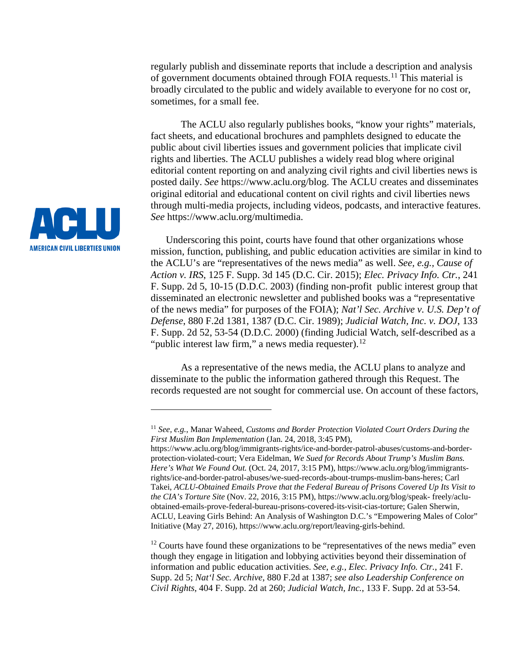regularly publish and disseminate reports that include a description and analysis of government documents obtained through FOIA requests.[11](#page-7-0) This material is broadly circulated to the public and widely available to everyone for no cost or, sometimes, for a small fee.

The ACLU also regularly publishes books, "know your rights" materials, fact sheets, and educational brochures and pamphlets designed to educate the public about civil liberties issues and government policies that implicate civil rights and liberties. The ACLU publishes a widely read blog where original editorial content reporting on and analyzing civil rights and civil liberties news is posted daily. *See* https://www.aclu.org/blog. The ACLU creates and disseminates original editorial and educational content on civil rights and civil liberties news through multi-media projects, including videos, podcasts, and interactive features. *See* https://www.aclu.org/multimedia.

Underscoring this point, courts have found that other organizations whose mission, function, publishing, and public education activities are similar in kind to the ACLU's are "representatives of the news media" as well. *See, e.g., Cause of Action v. IRS*, 125 F. Supp. 3d 145 (D.C. Cir. 2015); *Elec. Privacy Info. Ctr.*, 241 F. Supp. 2d 5, 10-15 (D.D.C. 2003) (finding non-profit public interest group that disseminated an electronic newsletter and published books was a "representative of the news media" for purposes of the FOIA); *Nat'l Sec. Archive v. U.S. Dep't of Defense*, 880 F.2d 1381, 1387 (D.C. Cir. 1989); *Judicial Watch, Inc. v. DOJ*, 133 F. Supp. 2d 52, 53-54 (D.D.C. 2000) (finding Judicial Watch, self-described as a "public interest law firm," a news media requester). $^{12}$  $^{12}$  $^{12}$ 

As a representative of the news media, the ACLU plans to analyze and disseminate to the public the information gathered through this Request. The records requested are not sought for commercial use. On account of these factors,

<span id="page-7-1"></span> $12$  Courts have found these organizations to be "representatives of the news media" even though they engage in litigation and lobbying activities beyond their dissemination of information and public education activities. *See, e.g., Elec. Privacy Info. Ctr.*, 241 F. Supp. 2d 5; *Nat'l Sec. Archive*, 880 F.2d at 1387; *see also Leadership Conference on Civil Rights*, 404 F. Supp. 2d at 260; *Judicial Watch, Inc.*, 133 F. Supp. 2d at 53-54.



<span id="page-7-0"></span><sup>11</sup> *See, e.g.*, Manar Waheed, *Customs and Border Protection Violated Court Orders During the First Muslim Ban Implementation* (Jan. 24, 2018, 3:45 PM),

https://www.aclu.org/blog/immigrants-rights/ice-and-border-patrol-abuses/customs-and-borderprotection-violated-court; Vera Eidelman, *We Sued for Records About Trump's Muslim Bans. Here's What We Found Out.* (Oct. 24, 2017, 3:15 PM), https://www.aclu.org/blog/immigrantsrights/ice-and-border-patrol-abuses/we-sued-records-about-trumps-muslim-bans-heres; Carl Takei, *ACLU-Obtained Emails Prove that the Federal Bureau of Prisons Covered Up Its Visit to the CIA's Torture Site* (Nov. 22, 2016, 3:15 PM), https://www.aclu.org/blog/speak- freely/acluobtained-emails-prove-federal-bureau-prisons-covered-its-visit-cias-torture; Galen Sherwin, ACLU, Leaving Girls Behind: An Analysis of Washington D.C.'s "Empowering Males of Color" Initiative (May 27, 2016), https://www.aclu.org/report/leaving-girls-behind.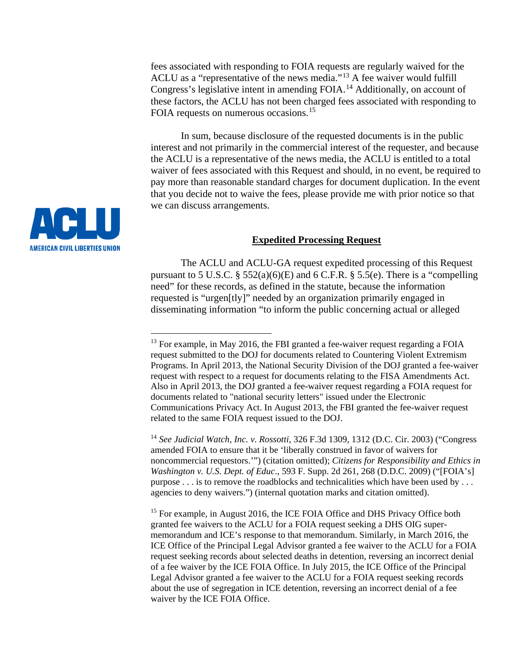fees associated with responding to FOIA requests are regularly waived for the ACLU as a "representative of the news media."[13](#page-8-0) A fee waiver would fulfill Congress's legislative intent in amending FOIA.<sup>[14](#page-8-1)</sup> Additionally, on account of these factors, the ACLU has not been charged fees associated with responding to FOIA requests on numerous occasions.<sup>15</sup>

In sum, because disclosure of the requested documents is in the public interest and not primarily in the commercial interest of the requester, and because the ACLU is a representative of the news media, the ACLU is entitled to a total waiver of fees associated with this Request and should, in no event, be required to pay more than reasonable standard charges for document duplication. In the event that you decide not to waive the fees, please provide me with prior notice so that we can discuss arrangements.



The ACLU and ACLU-GA request expedited processing of this Request pursuant to 5 U.S.C.  $\S$  552(a)(6)(E) and 6 C.F.R.  $\S$  5.5(e). There is a "compelling need" for these records, as defined in the statute, because the information requested is "urgen[tly]" needed by an organization primarily engaged in disseminating information "to inform the public concerning actual or alleged

<span id="page-8-1"></span><sup>14</sup> *See Judicial Watch, Inc. v. Rossotti*, 326 F.3d 1309, 1312 (D.C. Cir. 2003) ("Congress amended FOIA to ensure that it be 'liberally construed in favor of waivers for noncommercial requestors.'") (citation omitted); *Citizens for Responsibility and Ethics in Washington v. U.S. Dept. of Educ*., 593 F. Supp. 2d 261, 268 (D.D.C. 2009) ("[FOIA's] purpose . . . is to remove the roadblocks and technicalities which have been used by . . . agencies to deny waivers.") (internal quotation marks and citation omitted).

<span id="page-8-2"></span><sup>15</sup> For example, in August 2016, the ICE FOIA Office and DHS Privacy Office both granted fee waivers to the ACLU for a FOIA request seeking a DHS OIG supermemorandum and ICE's response to that memorandum. Similarly, in March 2016, the ICE Office of the Principal Legal Advisor granted a fee waiver to the ACLU for a FOIA request seeking records about selected deaths in detention, reversing an incorrect denial of a fee waiver by the ICE FOIA Office. In July 2015, the ICE Office of the Principal Legal Advisor granted a fee waiver to the ACLU for a FOIA request seeking records about the use of segregation in ICE detention, reversing an incorrect denial of a fee waiver by the ICE FOIA Office.

<span id="page-8-0"></span>

 $13$  For example, in May 2016, the FBI granted a fee-waiver request regarding a FOIA request submitted to the DOJ for documents related to Countering Violent Extremism Programs. In April 2013, the National Security Division of the DOJ granted a fee-waiver request with respect to a request for documents relating to the FISA Amendments Act. Also in April 2013, the DOJ granted a fee-waiver request regarding a FOIA request for documents related to "national security letters" issued under the Electronic Communications Privacy Act. In August 2013, the FBI granted the fee-waiver request related to the same FOIA request issued to the DOJ.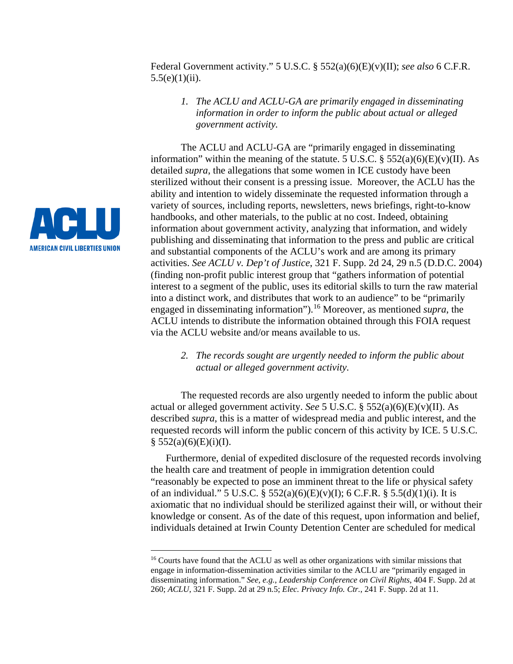Federal Government activity." 5 U.S.C. § 552(a)(6)(E)(v)(II); *see also* 6 C.F.R.  $5.5(e)(1)(ii)$ .

*1. The ACLU and ACLU-GA are primarily engaged in disseminating information in order to inform the public about actual or alleged government activity.*

The ACLU and ACLU-GA are "primarily engaged in disseminating information" within the meaning of the statute. 5 U.S.C.  $\S$  552(a)(6)(E)(v)(II). As detailed *supra*, the allegations that some women in ICE custody have been sterilized without their consent is a pressing issue. Moreover, the ACLU has the ability and intention to widely disseminate the requested information through a variety of sources, including reports, newsletters, news briefings, right-to-know handbooks, and other materials, to the public at no cost. Indeed, obtaining information about government activity, analyzing that information, and widely publishing and disseminating that information to the press and public are critical and substantial components of the ACLU's work and are among its primary activities. *See ACLU v. Dep't of Justice*, 321 F. Supp. 2d 24, 29 n.5 (D.D.C. 2004) (finding non-profit public interest group that "gathers information of potential interest to a segment of the public, uses its editorial skills to turn the raw material into a distinct work, and distributes that work to an audience" to be "primarily engaged in disseminating information").[16](#page-9-0) Moreover, as mentioned *supra*, the ACLU intends to distribute the information obtained through this FOIA request via the ACLU website and/or means available to us.

*2. The records sought are urgently needed to inform the public about actual or alleged government activity.*

The requested records are also urgently needed to inform the public about actual or alleged government activity. *See* 5 U.S.C. § 552(a)(6)(E)(v)(II). As described *supra*, this is a matter of widespread media and public interest, and the requested records will inform the public concern of this activity by ICE. 5 U.S.C.  $§ 552(a)(6)(E)(i)(I).$ 

Furthermore, denial of expedited disclosure of the requested records involving the health care and treatment of people in immigration detention could "reasonably be expected to pose an imminent threat to the life or physical safety of an individual." 5 U.S.C. § 552(a)(6)(E)(v)(I); 6 C.F.R. § 5.5(d)(1)(i). It is axiomatic that no individual should be sterilized against their will, or without their knowledge or consent. As of the date of this request, upon information and belief, individuals detained at Irwin County Detention Center are scheduled for medical



<span id="page-9-0"></span><sup>&</sup>lt;sup>16</sup> Courts have found that the ACLU as well as other organizations with similar missions that engage in information-dissemination activities similar to the ACLU are "primarily engaged in disseminating information." *See, e.g.*, *Leadership Conference on Civil Rights*, 404 F. Supp. 2d at 260; *ACLU*, 321 F. Supp. 2d at 29 n.5; *Elec. Privacy Info. Ctr.*, 241 F. Supp. 2d at 11.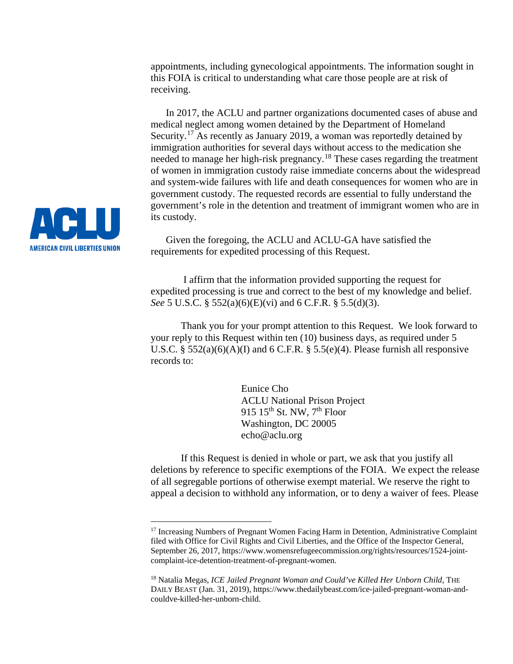appointments, including gynecological appointments. The information sought in this FOIA is critical to understanding what care those people are at risk of receiving.

In 2017, the ACLU and partner organizations documented cases of abuse and medical neglect among women detained by the Department of Homeland Security.<sup>[17](#page-10-0)</sup> As recently as January 2019, a woman was reportedly detained by immigration authorities for several days without access to the medication she needed to manage her high-risk pregnancy.[18](#page-10-1) These cases regarding the treatment of women in immigration custody raise immediate concerns about the widespread and system-wide failures with life and death consequences for women who are in government custody. The requested records are essential to fully understand the government's role in the detention and treatment of immigrant women who are in its custody.

Given the foregoing, the ACLU and ACLU-GA have satisfied the requirements for expedited processing of this Request.

I affirm that the information provided supporting the request for expedited processing is true and correct to the best of my knowledge and belief. *See* 5 U.S.C. § 552(a)(6)(E)(vi) and 6 C.F.R. § 5.5(d)(3).

Thank you for your prompt attention to this Request. We look forward to your reply to this Request within ten (10) business days, as required under 5 U.S.C. §  $552(a)(6)(A)(I)$  and 6 C.F.R. §  $5.5(e)(4)$ . Please furnish all responsive records to:

> Eunice Cho ACLU National Prison Project 915 15<sup>th</sup> St. NW,  $7<sup>th</sup>$  Floor Washington, DC 20005 echo@aclu.org

If this Request is denied in whole or part, we ask that you justify all deletions by reference to specific exemptions of the FOIA. We expect the release of all segregable portions of otherwise exempt material. We reserve the right to appeal a decision to withhold any information, or to deny a waiver of fees. Please



<span id="page-10-0"></span><sup>&</sup>lt;sup>17</sup> Increasing Numbers of Pregnant Women Facing Harm in Detention, Administrative Complaint filed with Office for Civil Rights and Civil Liberties, and the Office of the Inspector General, September 26, 2017, https://www.womensrefugeecommission.org/rights/resources/1524-jointcomplaint-ice-detention-treatment-of-pregnant-women.

<span id="page-10-1"></span><sup>18</sup> Natalia Megas, *ICE Jailed Pregnant Woman and Could've Killed Her Unborn Child*, THE DAILY BEAST (Jan. 31, 2019), https://www.thedailybeast.com/ice-jailed-pregnant-woman-andcouldve-killed-her-unborn-child.